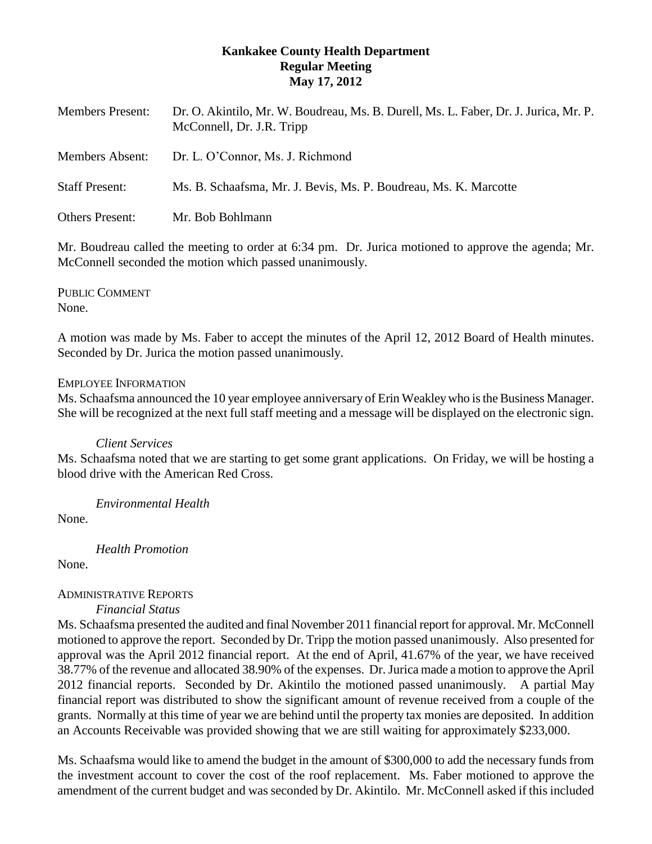# **Kankakee County Health Department Regular Meeting May 17, 2012**

| <b>Members Present:</b> | Dr. O. Akintilo, Mr. W. Boudreau, Ms. B. Durell, Ms. L. Faber, Dr. J. Jurica, Mr. P.<br>McConnell, Dr. J.R. Tripp |
|-------------------------|-------------------------------------------------------------------------------------------------------------------|
| <b>Members Absent:</b>  | Dr. L. O'Connor, Ms. J. Richmond                                                                                  |
| <b>Staff Present:</b>   | Ms. B. Schaafsma, Mr. J. Bevis, Ms. P. Boudreau, Ms. K. Marcotte                                                  |
| <b>Others Present:</b>  | Mr. Bob Bohlmann                                                                                                  |

Mr. Boudreau called the meeting to order at 6:34 pm. Dr. Jurica motioned to approve the agenda; Mr. McConnell seconded the motion which passed unanimously.

PUBLIC COMMENT None.

A motion was made by Ms. Faber to accept the minutes of the April 12, 2012 Board of Health minutes. Seconded by Dr. Jurica the motion passed unanimously.

#### EMPLOYEE INFORMATION

Ms. Schaafsma announced the 10 year employee anniversary of Erin Weakley who is the Business Manager. She will be recognized at the next full staff meeting and a message will be displayed on the electronic sign.

#### *Client Services*

Ms. Schaafsma noted that we are starting to get some grant applications. On Friday, we will be hosting a blood drive with the American Red Cross.

*Environmental Health*

None.

*Health Promotion*

None.

#### ADMINISTRATIVE REPORTS

# *Financial Status*

Ms. Schaafsma presented the audited and final November 2011 financial report for approval. Mr. McConnell motioned to approve the report. Seconded by Dr. Tripp the motion passed unanimously. Also presented for approval was the April 2012 financial report. At the end of April, 41.67% of the year, we have received 38.77% of the revenue and allocated 38.90% of the expenses. Dr. Jurica made a motion to approve the April 2012 financial reports. Seconded by Dr. Akintilo the motioned passed unanimously. A partial May financial report was distributed to show the significant amount of revenue received from a couple of the grants. Normally at this time of year we are behind until the property tax monies are deposited. In addition an Accounts Receivable was provided showing that we are still waiting for approximately \$233,000.

Ms. Schaafsma would like to amend the budget in the amount of \$300,000 to add the necessary funds from the investment account to cover the cost of the roof replacement. Ms. Faber motioned to approve the amendment of the current budget and was seconded by Dr. Akintilo. Mr. McConnell asked if this included